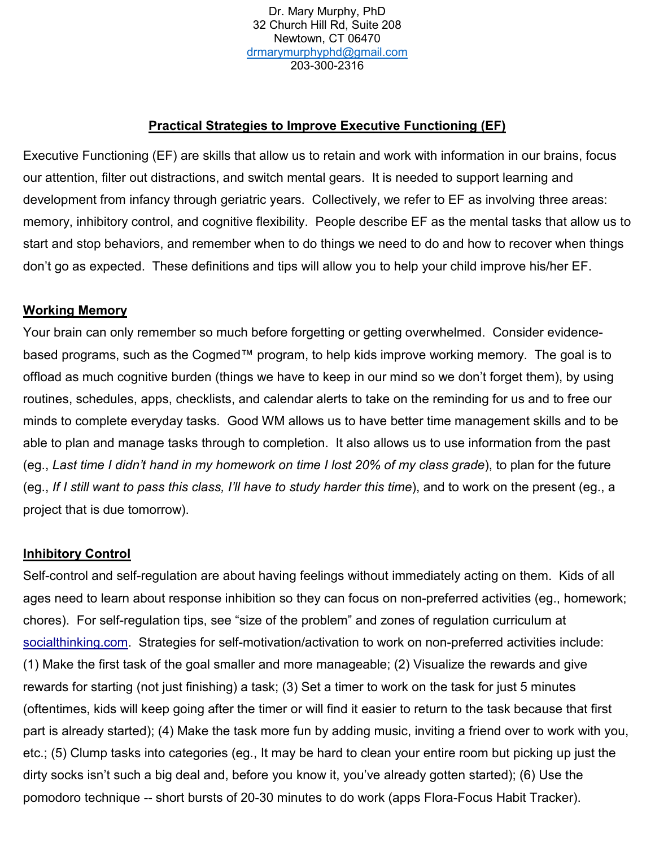Dr. Mary Murphy, PhD 32 Church Hill Rd, Suite 208 Newtown, CT 06470 [drmarymurphyphd@gmail.com](mailto:drmarymurphyphd@gmail.com) 203-300-2316

## **Practical Strategies to Improve Executive Functioning (EF)**

Executive Functioning (EF) are skills that allow us to retain and work with information in our brains, focus our attention, filter out distractions, and switch mental gears. It is needed to support learning and development from infancy through geriatric years. Collectively, we refer to EF as involving three areas: memory, inhibitory control, and cognitive flexibility. People describe EF as the mental tasks that allow us to start and stop behaviors, and remember when to do things we need to do and how to recover when things don't go as expected. These definitions and tips will allow you to help your child improve his/her EF.

### **Working Memory**

Your brain can only remember so much before forgetting or getting overwhelmed. Consider evidencebased programs, such as the Cogmed™ program, to help kids improve working memory. The goal is to offload as much cognitive burden (things we have to keep in our mind so we don't forget them), by using routines, schedules, apps, checklists, and calendar alerts to take on the reminding for us and to free our minds to complete everyday tasks. Good WM allows us to have better time management skills and to be able to plan and manage tasks through to completion. It also allows us to use information from the past (eg., *Last time I didn't hand in my homework on time I lost 20% of my class grade*), to plan for the future (eg., *If I still want to pass this class, I'll have to study harder this time*), and to work on the present (eg., a project that is due tomorrow).

#### **Inhibitory Control**

Self-control and self-regulation are about having feelings without immediately acting on them. Kids of all ages need to learn about response inhibition so they can focus on non-preferred activities (eg., homework; chores). For self-regulation tips, see "size of the problem" and zones of regulation curriculum at socialthinking.com. Strategies for self-motivation/activation to work on non-preferred activities include: (1) Make the first task of the goal smaller and more manageable; (2) Visualize the rewards and give rewards for starting (not just finishing) a task; (3) Set a timer to work on the task for just 5 minutes (oftentimes, kids will keep going after the timer or will find it easier to return to the task because that first part is already started); (4) Make the task more fun by adding music, inviting a friend over to work with you, etc.; (5) Clump tasks into categories (eg., It may be hard to clean your entire room but picking up just the dirty socks isn't such a big deal and, before you know it, you've already gotten started); (6) Use the pomodoro technique -- short bursts of 20-30 minutes to do work (apps Flora-Focus Habit Tracker).